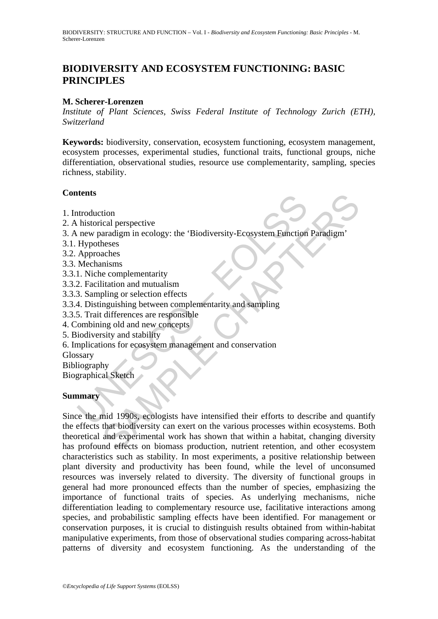# **BIODIVERSITY AND ECOSYSTEM FUNCTIONING: BASIC PRINCIPLES**

#### **M. Scherer-Lorenzen**

*Institute of Plant Sciences, Swiss Federal Institute of Technology Zurich (ETH), Switzerland* 

**Keywords:** biodiversity, conservation, ecosystem functioning, ecosystem management, ecosystem processes, experimental studies, functional traits, functional groups, niche differentiation, observational studies, resource use complementarity, sampling, species richness, stability.

#### **Contents**

- 1. Introduction
- 2. A historical perspective
- 3. A new paradigm in ecology: the 'Biodiversity-Ecosystem Function Paradigm'
- 3.1. Hypotheses
- 3.2. Approaches
- 3.3. Mechanisms
- 3.3.1. Niche complementarity
- 3.3.2. Facilitation and mutualism
- 3.3.3. Sampling or selection effects
- 3.3.4. Distinguishing between complementarity and sampling
- 3.3.5. Trait differences are responsible
- 4. Combining old and new concepts
- 5. Biodiversity and stability
- 6. Implications for ecosystem management and conservation
- Glossary
- Bibliography

Biographical Sketch

#### **Summary**

The substrated procedure of the method of the method control and the method of the method<br>of the new paradigm in ecology: the 'Biodiversity-Ecosystem Function<br>Hypotheses<br>Mechanisms<br>1. Niche complementarity<br>2. Facilitation tion<br>
in examplementarity<br>
aradigm in ecology: the 'Biodiversity-Ecosystem Function Paradigm'<br>
neses<br>
aches<br>
aches<br>
aches<br>
misms<br>
this misms<br>
pling or selection effects<br>
may in the examplementarity<br>
and mutualism<br>
ing of a Since the mid 1990s, ecologists have intensified their efforts to describe and quantify the effects that biodiversity can exert on the various processes within ecosystems. Both theoretical and experimental work has shown that within a habitat, changing diversity has profound effects on biomass production, nutrient retention, and other ecosystem characteristics such as stability. In most experiments, a positive relationship between plant diversity and productivity has been found, while the level of unconsumed resources was inversely related to diversity. The diversity of functional groups in general had more pronounced effects than the number of species, emphasizing the importance of functional traits of species. As underlying mechanisms, niche differentiation leading to complementary resource use, facilitative interactions among species, and probabilistic sampling effects have been identified. For management or conservation purposes, it is crucial to distinguish results obtained from within-habitat manipulative experiments, from those of observational studies comparing across-habitat patterns of diversity and ecosystem functioning. As the understanding of the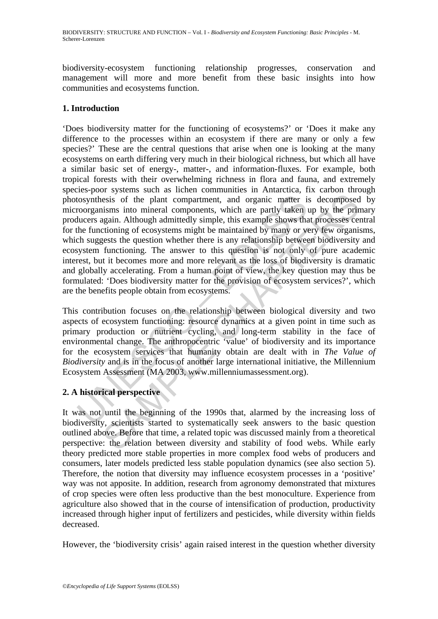biodiversity-ecosystem functioning relationship progresses, conservation and management will more and more benefit from these basic insights into how communities and ecosystems function.

### **1. Introduction**

tosynthesis of the plant compartment, and organic matter is<br>coorganisms into mineral components, which are partly taken lucers again. Although admittedly simple, this example shows that<br>he functioning of ecosystems might b essis of the plant compartment, and organic matter is decomposed<br>isms into mineral components, which are partly taken up by the principalin. Although admitted<br>by simple , this example shows that processes centerioning of e 'Does biodiversity matter for the functioning of ecosystems?' or 'Does it make any difference to the processes within an ecosystem if there are many or only a few species?' These are the central questions that arise when one is looking at the many ecosystems on earth differing very much in their biological richness, but which all have a similar basic set of energy-, matter-, and information-fluxes. For example, both tropical forests with their overwhelming richness in flora and fauna, and extremely species-poor systems such as lichen communities in Antarctica, fix carbon through photosynthesis of the plant compartment, and organic matter is decomposed by microorganisms into mineral components, which are partly taken up by the primary producers again. Although admittedly simple, this example shows that processes central for the functioning of ecosystems might be maintained by many or very few organisms, which suggests the question whether there is any relationship between biodiversity and ecosystem functioning. The answer to this question is not only of pure academic interest, but it becomes more and more relevant as the loss of biodiversity is dramatic and globally accelerating. From a human point of view, the key question may thus be formulated: 'Does biodiversity matter for the provision of ecosystem services?', which are the benefits people obtain from ecosystems.

This contribution focuses on the relationship between biological diversity and two aspects of ecosystem functioning: resource dynamics at a given point in time such as primary production or nutrient cycling, and long-term stability in the face of environmental change. The anthropocentric 'value' of biodiversity and its importance for the ecosystem services that humanity obtain are dealt with in *The Value of Biodiversity* and is in the focus of another large international initiative, the Millennium Ecosystem Assessment (MA 2003, www.millenniumassessment.org).

# **2. A historical perspective**

It was not until the beginning of the 1990s that, alarmed by the increasing loss of biodiversity, scientists started to systematically seek answers to the basic question outlined above. Before that time, a related topic was discussed mainly from a theoretical perspective: the relation between diversity and stability of food webs. While early theory predicted more stable properties in more complex food webs of producers and consumers, later models predicted less stable population dynamics (see also section 5). Therefore, the notion that diversity may influence ecosystem processes in a 'positive' way was not apposite. In addition, research from agronomy demonstrated that mixtures of crop species were often less productive than the best monoculture. Experience from agriculture also showed that in the course of intensification of production, productivity increased through higher input of fertilizers and pesticides, while diversity within fields decreased.

However, the 'biodiversity crisis' again raised interest in the question whether diversity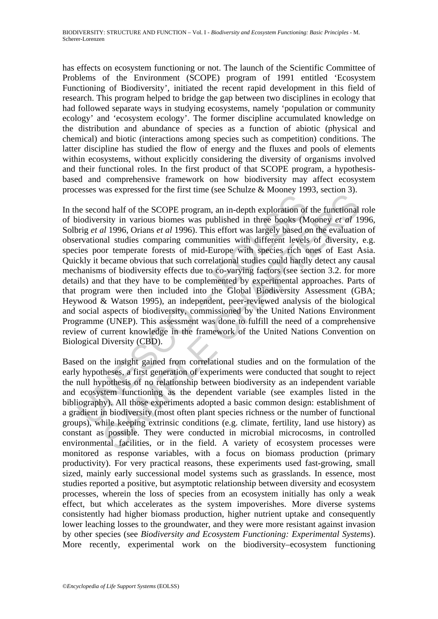has effects on ecosystem functioning or not. The launch of the Scientific Committee of Problems of the Environment (SCOPE) program of 1991 entitled 'Ecosystem Functioning of Biodiversity', initiated the recent rapid development in this field of research. This program helped to bridge the gap between two disciplines in ecology that had followed separate ways in studying ecosystems, namely 'population or community ecology' and 'ecosystem ecology'. The former discipline accumulated knowledge on the distribution and abundance of species as a function of abiotic (physical and chemical) and biotic (interactions among species such as competition) conditions. The latter discipline has studied the flow of energy and the fluxes and pools of elements within ecosystems, without explicitly considering the diversity of organisms involved and their functional roles. In the first product of that SCOPE program, a hypothesisbased and comprehensive framework on how biodiversity may affect ecosystem processes was expressed for the first time (see Schulze & Mooney 1993, section 3).

re second half of the SCOPE program, an in-depth exploration of<br>iodiversity in various biomes was published in three books (M<br>prig et al 1996, Orins et al 1996). This effort was largely based of<br>prarectional studies compa In an in-depth case and indepth extending on the functional<br>sixty in various biomes was published in three books (Mooney *et all*<br>1/1996, Orians *et al* 1996). This effort was largely based on the evaluation<br>in all studie In the second half of the SCOPE program, an in-depth exploration of the functional role of biodiversity in various biomes was published in three books (Mooney *et al* 1996, Solbrig *et al* 1996, Orians *et al* 1996). This effort was largely based on the evaluation of observational studies comparing communities with different levels of diversity, e.g. species poor temperate forests of mid-Europe with species rich ones of East Asia. Quickly it became obvious that such correlational studies could hardly detect any causal mechanisms of biodiversity effects due to co-varying factors (see section 3.2. for more details) and that they have to be complemented by experimental approaches. Parts of that program were then included into the Global Biodiversity Assessment (GBA; Heywood & Watson 1995), an independent, peer-reviewed analysis of the biological and social aspects of biodiversity, commissioned by the United Nations Environment Programme (UNEP). This assessment was done to fulfill the need of a comprehensive review of current knowledge in the framework of the United Nations Convention on Biological Diversity (CBD).

Based on the insight gained from correlational studies and on the formulation of the early hypotheses, a first generation of experiments were conducted that sought to reject the null hypothesis of no relationship between biodiversity as an independent variable and ecosystem functioning as the dependent variable (see examples listed in the bibliography). All those experiments adopted a basic common design: establishment of a gradient in biodiversity (most often plant species richness or the number of functional groups), while keeping extrinsic conditions (e.g. climate, fertility, land use history) as constant as possible. They were conducted in microbial microcosms, in controlled environmental facilities, or in the field. A variety of ecosystem processes were monitored as response variables, with a focus on biomass production (primary productivity). For very practical reasons, these experiments used fast-growing, small sized, mainly early successional model systems such as grasslands. In essence, most studies reported a positive, but asymptotic relationship between diversity and ecosystem processes, wherein the loss of species from an ecosystem initially has only a weak effect, but which accelerates as the system impoverishes. More diverse systems consistently had higher biomass production, higher nutrient uptake and consequently lower leaching losses to the groundwater, and they were more resistant against invasion by other species (see *Biodiversity and Ecosystem Functioning: Experimental Systems*). More recently, experimental work on the biodiversity–ecosystem functioning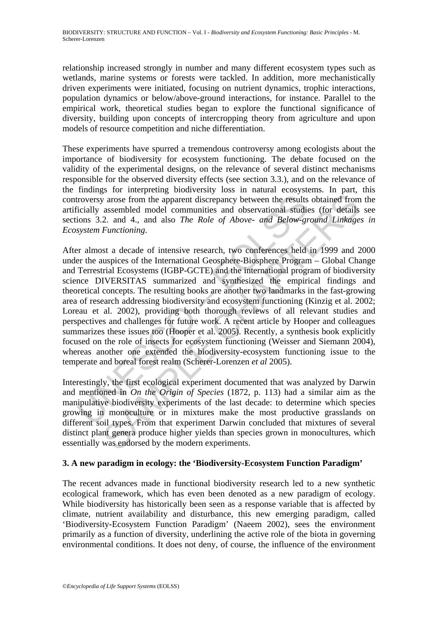relationship increased strongly in number and many different ecosystem types such as wetlands, marine systems or forests were tackled. In addition, more mechanistically driven experiments were initiated, focusing on nutrient dynamics, trophic interactions, population dynamics or below/above-ground interactions, for instance. Parallel to the empirical work, theoretical studies began to explore the functional significance of diversity, building upon concepts of intercropping theory from agriculture and upon models of resource competition and niche differentiation.

These experiments have spurred a tremendous controversy among ecologists about the importance of biodiversity for ecosystem functioning. The debate focused on the validity of the experimental designs, on the relevance of several distinct mechanisms responsible for the observed diversity effects (see section 3.3.), and on the relevance of the findings for interpreting biodiversity loss in natural ecosystems. In part, this controversy arose from the apparent discrepancy between the results obtained from the artificially assembled model communities and observational studies (for details see sections 3.2. and 4., and also *The Role of Above- and Below-ground Linkages in Ecosystem Functioning*.

troversy arose from the apparent discrepancy between the results<br>icially assembled model communities and observational studio<br>ions 3.2. and 4., and also *The Role of Above- and Below-gr*<br>system Functioning.<br>For almost a de space and 4. and also The Repeated into the last decade in the pronounce of several produces and 4., and also *The Role of Above- and Below-ground Linkage Functioning*.<br>
2. and 4., and also *The Role of Above- and Below-g* After almost a decade of intensive research, two conferences held in 1999 and 2000 under the auspices of the International Geosphere-Biosphere Program – Global Change and Terrestrial Ecosystems (IGBP-GCTE) and the international program of biodiversity science DIVERSITAS summarized and synthesized the empirical findings and theoretical concepts. The resulting books are another two landmarks in the fast-growing area of research addressing biodiversity and ecosystem functioning (Kinzig et al. 2002; Loreau et al. 2002), providing both thorough reviews of all relevant studies and perspectives and challenges for future work. A recent article by Hooper and colleagues summarizes these issues too (Hooper et al. 2005). Recently, a synthesis book explicitly focused on the role of insects for ecosystem functioning (Weisser and Siemann 2004), whereas another one extended the biodiversity-ecosystem functioning issue to the temperate and boreal forest realm (Scherer-Lorenzen *et al* 2005).

Interestingly, the first ecological experiment documented that was analyzed by Darwin and mentioned in *On the Origin of Species* (1872, p. 113) had a similar aim as the manipulative biodiversity experiments of the last decade: to determine which species growing in monoculture or in mixtures make the most productive grasslands on different soil types. From that experiment Darwin concluded that mixtures of several distinct plant genera produce higher yields than species grown in monocultures, which essentially was endorsed by the modern experiments.

### **3. A new paradigm in ecology: the 'Biodiversity-Ecosystem Function Paradigm'**

The recent advances made in functional biodiversity research led to a new synthetic ecological framework, which has even been denoted as a new paradigm of ecology. While biodiversity has historically been seen as a response variable that is affected by climate, nutrient availability and disturbance, this new emerging paradigm, called 'Biodiversity-Ecosystem Function Paradigm' (Naeem 2002), sees the environment primarily as a function of diversity, underlining the active role of the biota in governing environmental conditions. It does not deny, of course, the influence of the environment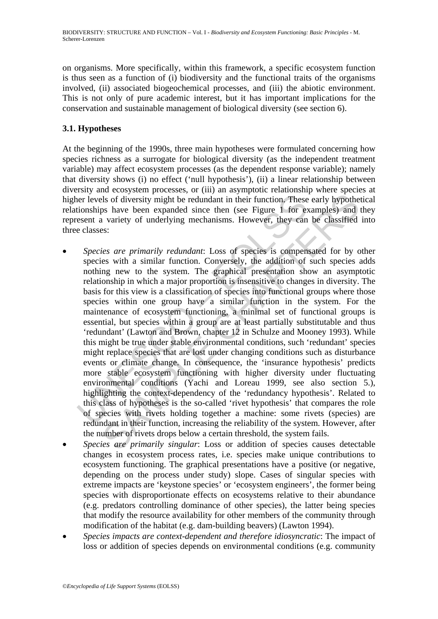on organisms. More specifically, within this framework, a specific ecosystem function is thus seen as a function of (i) biodiversity and the functional traits of the organisms involved, (ii) associated biogeochemical processes, and (iii) the abiotic environment. This is not only of pure academic interest, but it has important implications for the conservation and sustainable management of biological diversity (see section 6).

## **3.1. Hypotheses**

At the beginning of the 1990s, three main hypotheses were formulated concerning how species richness as a surrogate for biological diversity (as the independent treatment variable) may affect ecosystem processes (as the dependent response variable); namely that diversity shows (i) no effect ('null hypothesis'), (ii) a linear relationship between diversity and ecosystem processes, or (iii) an asymptotic relationship where species at higher levels of diversity might be redundant in their function. These early hypothetical relationships have been expanded since then (see Figure 1 for examples) and they represent a variety of underlying mechanisms. However, they can be classified into three classes:

- the reverse of diversity might be redundant in their function. These<br>tionships have been expanded since then (see Figure 1 for exesent a variety of underlying mechanisms. However, they can<br>e classes:<br>Species are primarily Is of diversity might be redundant in their function. These early hypothes<br>os have been expanded since then (see Figure 1 for examples) and<br>variety of underlying mechanisms. However, they can be classified<br>s:<br>ties are prim • *Species are primarily redundant*: Loss of species is compensated for by other species with a similar function. Conversely, the addition of such species adds nothing new to the system. The graphical presentation show an asymptotic relationship in which a major proportion is insensitive to changes in diversity. The basis for this view is a classification of species into functional groups where those species within one group have a similar function in the system. For the maintenance of ecosystem functioning, a minimal set of functional groups is essential, but species within a group are at least partially substitutable and thus 'redundant' (Lawton and Brown, chapter 12 in Schulze and Mooney 1993). While this might be true under stable environmental conditions, such 'redundant' species might replace species that are lost under changing conditions such as disturbance events or climate change. In consequence, the 'insurance hypothesis' predicts more stable ecosystem functioning with higher diversity under fluctuating environmental conditions (Yachi and Loreau 1999, see also section 5.), highlighting the context-dependency of the 'redundancy hypothesis'. Related to this class of hypotheses is the so-called 'rivet hypothesis' that compares the role of species with rivets holding together a machine: some rivets (species) are redundant in their function, increasing the reliability of the system. However, after the number of rivets drops below a certain threshold, the system fails.
- *Species are primarily singular*: Loss or addition of species causes detectable changes in ecosystem process rates, i.e. species make unique contributions to ecosystem functioning. The graphical presentations have a positive (or negative, depending on the process under study) slope. Cases of singular species with extreme impacts are 'keystone species' or 'ecosystem engineers', the former being species with disproportionate effects on ecosystems relative to their abundance (e.g. predators controlling dominance of other species), the latter being species that modify the resource availability for other members of the community through modification of the habitat (e.g. dam-building beavers) (Lawton 1994).
- *Species impacts are context-dependent and therefore idiosyncratic*: The impact of loss or addition of species depends on environmental conditions (e.g. community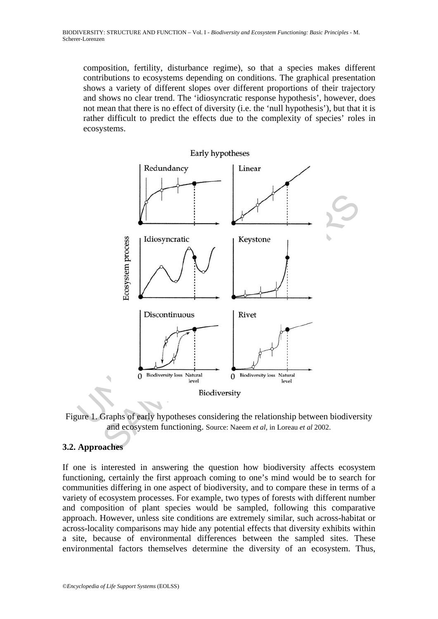composition, fertility, disturbance regime), so that a species makes different contributions to ecosystems depending on conditions. The graphical presentation shows a variety of different slopes over different proportions of their trajectory and shows no clear trend. The 'idiosyncratic response hypothesis', however, does not mean that there is no effect of diversity (i.e. the 'null hypothesis'), but that it is rather difficult to predict the effects due to the complexity of species' roles in ecosystems.



Figure 1. Graphs of early hypotheses considering the relationship between biodiversity and ecosystem functioning. Source: Naeem *et al*, in Loreau *et al* 2002.

# **3.2. Approaches**

If one is interested in answering the question how biodiversity affects ecosystem functioning, certainly the first approach coming to one's mind would be to search for communities differing in one aspect of biodiversity, and to compare these in terms of a variety of ecosystem processes. For example, two types of forests with different number and composition of plant species would be sampled, following this comparative approach. However, unless site conditions are extremely similar, such across-habitat or across-locality comparisons may hide any potential effects that diversity exhibits within a site, because of environmental differences between the sampled sites. These environmental factors themselves determine the diversity of an ecosystem. Thus,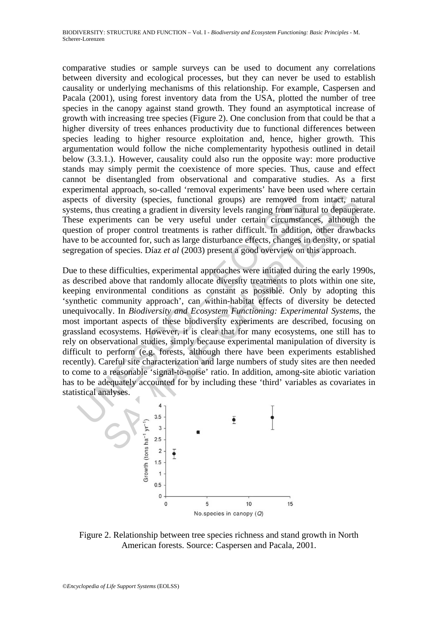comparative studies or sample surveys can be used to document any correlations between diversity and ecological processes, but they can never be used to establish causality or underlying mechanisms of this relationship. For example, Caspersen and Pacala (2001), using forest inventory data from the USA, plotted the number of tree species in the canopy against stand growth. They found an asymptotical increase of growth with increasing tree species (Figure 2). One conclusion from that could be that a higher diversity of trees enhances productivity due to functional differences between species leading to higher resource exploitation and, hence, higher growth. This argumentation would follow the niche complementarity hypothesis outlined in detail below (3.3.1.). However, causality could also run the opposite way: more productive stands may simply permit the coexistence of more species. Thus, cause and effect cannot be disentangled from observational and comparative studies. As a first experimental approach, so-called 'removal experiments' have been used where certain aspects of diversity (species, functional groups) are removed from intact, natural systems, thus creating a gradient in diversity levels ranging from natural to depauperate. These experiments can be very useful under certain circumstances, although the question of proper control treatments is rather difficult. In addition, other drawbacks have to be accounted for, such as large disturbance effects, changes in density, or spatial segregation of species. Díaz *et al* (2003) present a good overview on this approach.

consists of diversity (species, functional groups) are removed frems, thus creating a gradient in diversity levels ranging from nature experiments can be very useful under certain circumstantion of proper control treatmen diversity (species, functional groups) are removed from intact, nat<br>us creating a gradient in diversity levels ranging from natural to depauge<br>eriments can be very useful under certain circulation, other drawb<br>from contro Due to these difficulties, experimental approaches were initiated during the early 1990s, as described above that randomly allocate diversity treatments to plots within one site, keeping environmental conditions as constant as possible. Only by adopting this 'synthetic community approach', can within-habitat effects of diversity be detected unequivocally. In *Biodiversity and Ecosystem Functioning: Experimental Systems*, the most important aspects of these biodiversity experiments are described, focusing on grassland ecosystems. However, it is clear that for many ecosystems, one still has to rely on observational studies, simply because experimental manipulation of diversity is difficult to perform (e.g. forests, although there have been experiments established recently). Careful site characterization and large numbers of study sites are then needed to come to a reasonable 'signal-to-noise' ratio. In addition, among-site abiotic variation has to be adequately accounted for by including these 'third' variables as covariates in statistical analyses.



Figure 2. Relationship between tree species richness and stand growth in North American forests. Source: Caspersen and Pacala, 2001.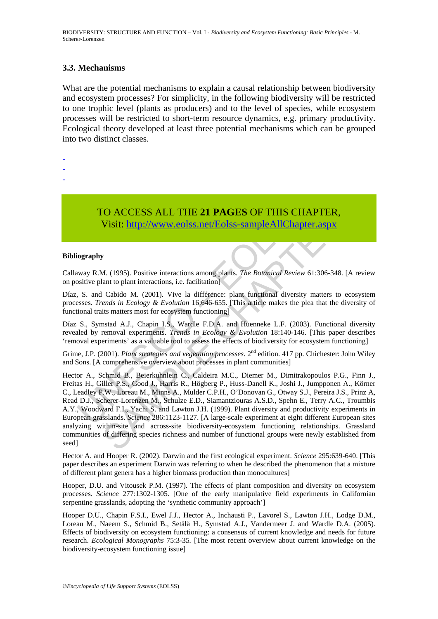#### **3.3. Mechanisms**

What are the potential mechanisms to explain a causal relationship between biodiversity and ecosystem processes? For simplicity, in the following biodiversity will be restricted to one trophic level (plants as producers) and to the level of species, while ecosystem processes will be restricted to short-term resource dynamics, e.g. primary productivity. Ecological theory developed at least three potential mechanisms which can be grouped into two distinct classes.

- -
- -
- -

TO ACCESS ALL THE **21 PAGES** OF THIS CHAPTER, Visit: http://www.eolss.net/Eolss-sampleAllChapter.aspx

#### **Bibliography**

Callaway R.M. (1995). Positive interactions among plants. *The Botanical Review* 61:306-348. [A review on positive plant to plant interactions, i.e. facilitation]

Díaz, S. and Cabido M. (2001). Vive la différence: plant functional diversity matters to ecosystem processes. *Trends in Ecology & Evolution* 16:646-655. [This article makes the plea that the diversity of functional traits matters most for ecosystem functioning]

Díaz S., Symstad A.J., Chapin I.S., Wardle F.D.A. and Huenneke L.F. (2003). Functional diversity revealed by removal experiments. *Trends in Ecology & Evolution* 18:140-146. [This paper describes 'removal experiments' as a valuable tool to assess the effects of biodiversity for ecosystem functioning]

Grime, J.P. (2001). *Plant strategies and vegetation processes*. 2nd edition. 417 pp. Chichester: John Wiley and Sons. [A comprehensive overview about processes in plant communities]

**TO ACCESS ALL THE 21 PAGES OF THIS CHANGES**<br>
Visit: http://www.eolss.net/Eolss-sampleAllChapte<br>
iography<br>
iography<br>
iography<br>
iography<br>
iography<br>
iography<br>
iography<br>
sositive plant to plant interactions, i.e. facilitatio CO ACCESS ALL THE 21 PAGES OF THIS CHAPTER,<br>Visit: http://www.eolss.net/Eolss-sampleAllChapter.aspx<br>y<br>M. (1995). Positive interactions among plants. The Boranical Review 61:306-348. [A re<br>at the plant interactions, i.e. fa Hector A., Schmid B., Beierkuhnlein C., Caldeira M.C., Diemer M., Dimitrakopoulos P.G., Finn J., Freitas H., Giller P.S., Good J., Harris R., Högberg P., Huss-Danell K., Joshi J., Jumpponen A., Körner C., Leadley P.W., Loreau M., Minns A., Mulder C.P.H., O'Donovan G., Otway S.J., Pereira J.S., Prinz A, Read D.J., Scherer-Lorenzen M., Schulze E.D., Siamantziouras A.S.D., Spehn E., Terry A.C., Troumbis A.Y., Woodward F.I., Yachi S. and Lawton J.H. (1999). Plant diversity and productivity experiments in European grasslands. *Science* 286:1123-1127. [A large-scale experiment at eight different European sites analyzing within-site and across-site biodiversity-ecosystem functioning relationships. Grassland communities of differing species richness and number of functional groups were newly established from seed]

Hector A. and Hooper R. (2002). Darwin and the first ecological experiment. *Science* 295:639-640. [This paper describes an experiment Darwin was referring to when he described the phenomenon that a mixture of different plant genera has a higher biomass production than monocultures]

Hooper, D.U. and Vitousek P.M. (1997). The effects of plant composition and diversity on ecosystem processes. *Science* 277:1302-1305. [One of the early manipulative field experiments in Californian serpentine grasslands, adopting the 'synthetic community approach']

Hooper D.U., Chapin F.S.I., Ewel J.J., Hector A., Inchausti P., Lavorel S., Lawton J.H., Lodge D.M., Loreau M., Naeem S., Schmid B., Setälä H., Symstad A.J., Vandermeer J. and Wardle D.A. (2005). Effects of biodiversity on ecosystem functioning: a consensus of current knowledge and needs for future research. *Ecological Monographs* 75:3-35*.* [The most recent overview about current knowledge on the biodiversity-ecosystem functioning issue]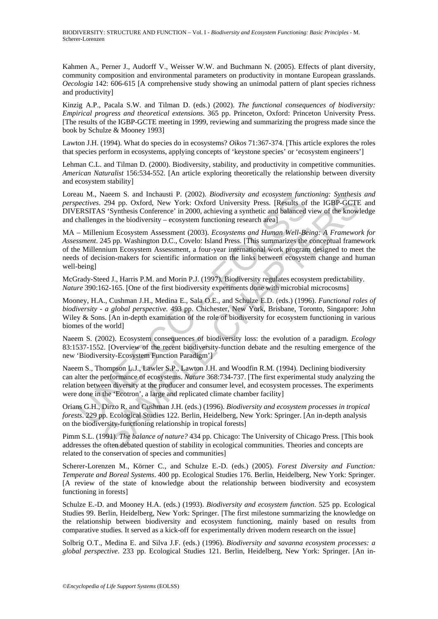Kahmen A., Perner J., Audorff V., Weisser W.W. and Buchmann N. (2005). Effects of plant diversity, community composition and environmental parameters on productivity in montane European grasslands. *Oecologia* 142: 606-615 [A comprehensive study showing an unimodal pattern of plant species richness and productivity]

Kinzig A.P., Pacala S.W. and Tilman D. (eds.) (2002). *The functional consequences of biodiversity: Empirical progress and theoretical extensions*. 365 pp. Princeton, Oxford: Princeton University Press. [The results of the IGBP-GCTE meeting in 1999, reviewing and summarizing the progress made since the book by Schulze & Mooney 1993]

Lawton J.H. (1994). What do species do in ecosystems? *Oikos* 71:367-374. [This article explores the roles that species perform in ecosystems, applying concepts of 'keystone species' or 'ecosystem engineers']

Lehman C.L. and Tilman D. (2000). Biodiversity, stability, and productivity in competitive communities. *American Naturalist* 156:534-552. [An article exploring theoretically the relationship between diversity and ecosystem stability]

Loreau M., Naeem S. and Inchausti P. (2002). *Biodiversity and ecosystem functioning: Synthesis and perspectives*. 294 pp. Oxford, New York: Oxford University Press. [Results of the IGBP-GCTE and DIVERSITAS 'Synthesis Conference' in 2000, achieving a synthetic and balanced view of the knowledge and challenges in the biodiversity – ecosystem functioning research area]

au M., Naem S. and Inchaust P. (2002). *Biodiversity and ecosystem tpace-*<br>exerives. 294 pp. Oxford, New York: Oxford University Press. [Results of<br>ERSITAS 'Synthesis Conference' in 2000, achieving a synthetic and balanced Naem S. and Inchausti P. (2002). *Biodiversity and ecosystem functioning*: *Synthesis* Conference' in 2000, achieving a synthetic and balanced view of the IGBP-GCTES 'Synthesis Conference' in 2000, achieving a synthetic an MA – Millenium Ecosystem Assessment (2003). *Ecosystems and Human Well-Being: A Framework for Assessment*. 245 pp. Washington D.C., Covelo: Island Press. [This summarizes the conceptual framework of the Millennium Ecosystem Assessment, a four-year international work program designed to meet the needs of decision-makers for scientific information on the links between ecosystem change and human well-being]

McGrady-Steed J., Harris P.M. and Morin P.J. (1997). Biodiversity regulates ecosystem predictability. *Nature* 390:162-165. [One of the first biodiversity experiments done with microbial microcosms]

Mooney, H.A., Cushman J.H., Medina E., Sala O.E., and Schulze E.D. (eds.) (1996). *Functional roles of biodiversity - a global perspective.* 493 pp. Chichester, New York, Brisbane, Toronto, Singapore: John Wiley & Sons. [An in-depth examination of the role of biodiversity for ecosystem functioning in various biomes of the world]

Naeem S. (2002). Ecosystem consequences of biodiversity loss: the evolution of a paradigm. *Ecology* 83:1537-1552. [Overview of the recent biodiversity-function debate and the resulting emergence of the new 'Biodiversity-Ecosystem Function Paradigm']

Naeem S., Thompson L.J., Lawler S.P., Lawton J.H. and Woodfin R.M. (1994). Declining biodiversity can alter the performance of ecosystems. *Nature* 368:734-737. [The first experimental study analyzing the relation between diversity at the producer and consumer level, and ecosystem processes. The experiments were done in the 'Ecotron', a large and replicated climate chamber facility]

Orians G.H., Dirzo R. and Cushman J.H. (eds.) (1996). *Biodiversity and ecosystem processes in tropical forests*. 229 pp. Ecological Studies 122. Berlin, Heidelberg, New York: Springer. [An in-depth analysis on the biodiversity-functioning relationship in tropical forests]

Pimm S.L. (1991). *The balance of nature?* 434 pp. Chicago: The University of Chicago Press. [This book addresses the often debated question of stability in ecological communities. Theories and concepts are related to the conservation of species and communities]

Scherer-Lorenzen M., Körner C., and Schulze E.-D. (eds.) (2005). *Forest Diversity and Function: Temperate and Boreal Systems*. 400 pp. Ecological Studies 176. Berlin, Heidelberg, New York: Springer. [A review of the state of knowledge about the relationship between biodiversity and ecosystem functioning in forests]

Schulze E.-D. and Mooney H.A. (eds.) (1993). *Biodiversity and ecosystem function*. 525 pp. Ecological Studies 99. Berlin, Heidelberg, New York: Springer. [The first milestone summarizing the knowledge on the relationship between biodiversity and ecosystem functioning, mainly based on results from comparative studies. It served as a kick-off for experimentally driven modern research on the issue]

Solbrig O.T., Medina E. and Silva J.F. (eds.) (1996). *Biodiversity and savanna ecosystem processes: a global perspective*. 233 pp. Ecological Studies 121. Berlin, Heidelberg, New York: Springer. [An in